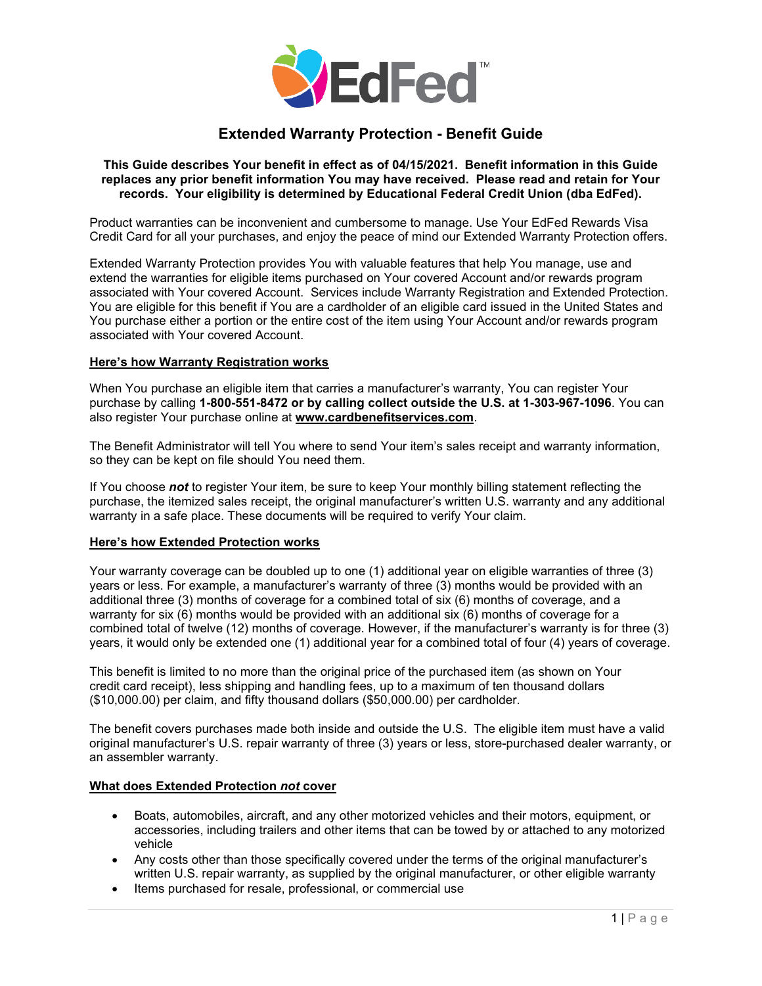

# **Extended Warranty Protection - Benefit Guide**

#### **This Guide describes Your benefit in effect as of 04/15/2021. Benefit information in this Guide replaces any prior benefit information You may have received. Please read and retain for Your records. Your eligibility is determined by Educational Federal Credit Union (dba EdFed).**

Product warranties can be inconvenient and cumbersome to manage. Use Your EdFed Rewards Visa Credit Card for all your purchases, and enjoy the peace of mind our Extended Warranty Protection offers.

Extended Warranty Protection provides You with valuable features that help You manage, use and extend the warranties for eligible items purchased on Your covered Account and/or rewards program associated with Your covered Account. Services include Warranty Registration and Extended Protection. You are eligible for this benefit if You are a cardholder of an eligible card issued in the United States and You purchase either a portion or the entire cost of the item using Your Account and/or rewards program associated with Your covered Account.

#### **Here's how Warranty Registration works**

When You purchase an eligible item that carries a manufacturer's warranty, You can register Your purchase by calling **1-800-551-8472 or by calling collect outside the U.S. at 1-303-967-1096**. You can also register Your purchase online at **[www.cardbenefitservices.com](http://www.cardbenefitservices.com/)**.

The Benefit Administrator will tell You where to send Your item's sales receipt and warranty information, so they can be kept on file should You need them.

If You choose *not* to register Your item, be sure to keep Your monthly billing statement reflecting the purchase, the itemized sales receipt, the original manufacturer's written U.S. warranty and any additional warranty in a safe place. These documents will be required to verify Your claim.

#### **Here's how Extended Protection works**

Your warranty coverage can be doubled up to one (1) additional year on eligible warranties of three (3) years or less. For example, a manufacturer's warranty of three (3) months would be provided with an additional three (3) months of coverage for a combined total of six (6) months of coverage, and a warranty for six (6) months would be provided with an additional six (6) months of coverage for a combined total of twelve (12) months of coverage. However, if the manufacturer's warranty is for three (3) years, it would only be extended one (1) additional year for a combined total of four (4) years of coverage.

This benefit is limited to no more than the original price of the purchased item (as shown on Your credit card receipt), less shipping and handling fees, up to a maximum of ten thousand dollars (\$10,000.00) per claim, and fifty thousand dollars (\$50,000.00) per cardholder.

The benefit covers purchases made both inside and outside the U.S. The eligible item must have a valid original manufacturer's U.S. repair warranty of three (3) years or less, store-purchased dealer warranty, or an assembler warranty.

#### **What does Extended Protection** *not* **cover**

- Boats, automobiles, aircraft, and any other motorized vehicles and their motors, equipment, or accessories, including trailers and other items that can be towed by or attached to any motorized vehicle
- Any costs other than those specifically covered under the terms of the original manufacturer's written U.S. repair warranty, as supplied by the original manufacturer, or other eligible warranty
- Items purchased for resale, professional, or commercial use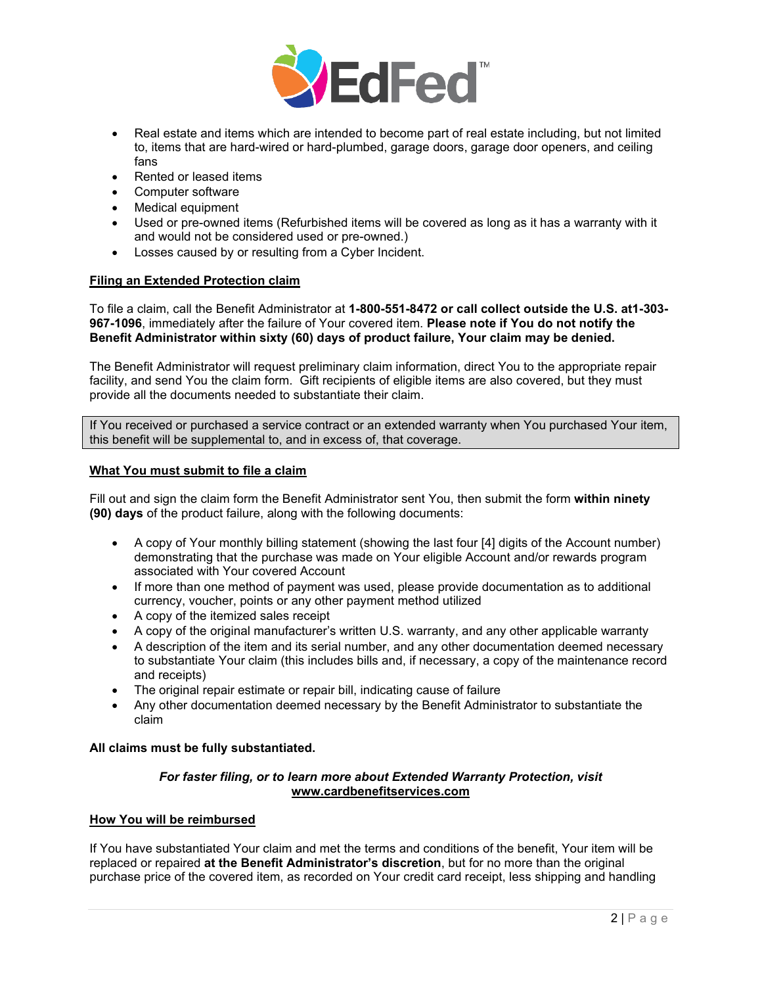

- Real estate and items which are intended to become part of real estate including, but not limited to, items that are hard-wired or hard-plumbed, garage doors, garage door openers, and ceiling fans
- Rented or leased items
- Computer software
- Medical equipment
- Used or pre-owned items (Refurbished items will be covered as long as it has a warranty with it and would not be considered used or pre-owned.)
- Losses caused by or resulting from a Cyber Incident.

## **Filing an Extended Protection claim**

To file a claim, call the Benefit Administrator at **1-800-551-8472 or call collect outside the U.S. at1-303- 967-1096**, immediately after the failure of Your covered item. **Please note if You do not notify the Benefit Administrator within sixty (60) days of product failure, Your claim may be denied.** 

The Benefit Administrator will request preliminary claim information, direct You to the appropriate repair facility, and send You the claim form. Gift recipients of eligible items are also covered, but they must provide all the documents needed to substantiate their claim.

If You received or purchased a service contract or an extended warranty when You purchased Your item, this benefit will be supplemental to, and in excess of, that coverage.

#### **What You must submit to file a claim**

Fill out and sign the claim form the Benefit Administrator sent You, then submit the form **within ninety (90) days** of the product failure, along with the following documents:

- A copy of Your monthly billing statement (showing the last four [4] digits of the Account number) demonstrating that the purchase was made on Your eligible Account and/or rewards program associated with Your covered Account
- If more than one method of payment was used, please provide documentation as to additional currency, voucher, points or any other payment method utilized
- A copy of the itemized sales receipt
- A copy of the original manufacturer's written U.S. warranty, and any other applicable warranty
- A description of the item and its serial number, and any other documentation deemed necessary to substantiate Your claim (this includes bills and, if necessary, a copy of the maintenance record and receipts)
- The original repair estimate or repair bill, indicating cause of failure
- Any other documentation deemed necessary by the Benefit Administrator to substantiate the claim

#### **All claims must be fully substantiated.**

#### *For faster filing, or to learn more about Extended Warranty Protection, visit* **[www.cardbenefitservices.com](http://www.cardbenefitservices.com/)**

#### **How You will be reimbursed**

If You have substantiated Your claim and met the terms and conditions of the benefit, Your item will be replaced or repaired **at the Benefit Administrator's discretion**, but for no more than the original purchase price of the covered item, as recorded on Your credit card receipt, less shipping and handling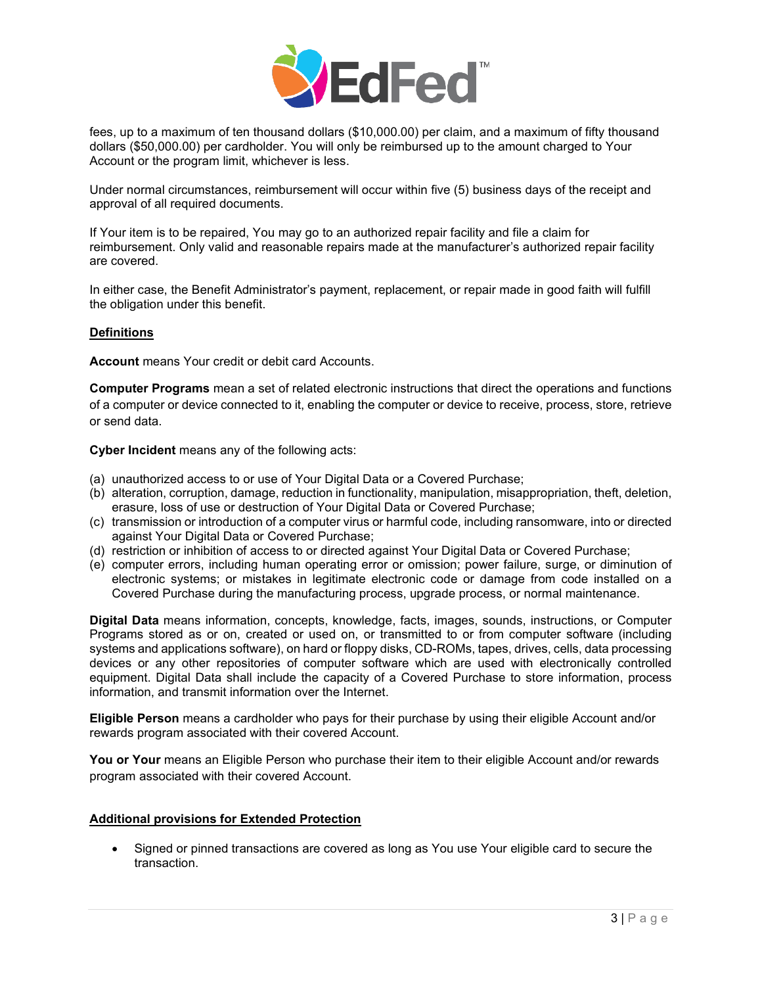

fees, up to a maximum of ten thousand dollars (\$10,000.00) per claim, and a maximum of fifty thousand dollars (\$50,000.00) per cardholder. You will only be reimbursed up to the amount charged to Your Account or the program limit, whichever is less.

Under normal circumstances, reimbursement will occur within five (5) business days of the receipt and approval of all required documents.

If Your item is to be repaired, You may go to an authorized repair facility and file a claim for reimbursement. Only valid and reasonable repairs made at the manufacturer's authorized repair facility are covered.

In either case, the Benefit Administrator's payment, replacement, or repair made in good faith will fulfill the obligation under this benefit.

## **Definitions**

**Account** means Your credit or debit card Accounts.

**Computer Programs** mean a set of related electronic instructions that direct the operations and functions of a computer or device connected to it, enabling the computer or device to receive, process, store, retrieve or send data.

**Cyber Incident** means any of the following acts:

- (a) unauthorized access to or use of Your Digital Data or a Covered Purchase;
- (b) alteration, corruption, damage, reduction in functionality, manipulation, misappropriation, theft, deletion, erasure, loss of use or destruction of Your Digital Data or Covered Purchase;
- (c) transmission or introduction of a computer virus or harmful code, including ransomware, into or directed against Your Digital Data or Covered Purchase;
- (d) restriction or inhibition of access to or directed against Your Digital Data or Covered Purchase;
- (e) computer errors, including human operating error or omission; power failure, surge, or diminution of electronic systems; or mistakes in legitimate electronic code or damage from code installed on a Covered Purchase during the manufacturing process, upgrade process, or normal maintenance.

**Digital Data** means information, concepts, knowledge, facts, images, sounds, instructions, or Computer Programs stored as or on, created or used on, or transmitted to or from computer software (including systems and applications software), on hard or floppy disks, CD-ROMs, tapes, drives, cells, data processing devices or any other repositories of computer software which are used with electronically controlled equipment. Digital Data shall include the capacity of a Covered Purchase to store information, process information, and transmit information over the Internet.

**Eligible Person** means a cardholder who pays for their purchase by using their eligible Account and/or rewards program associated with their covered Account.

**You or Your** means an Eligible Person who purchase their item to their eligible Account and/or rewards program associated with their covered Account.

#### **Additional provisions for Extended Protection**

• Signed or pinned transactions are covered as long as You use Your eligible card to secure the transaction.